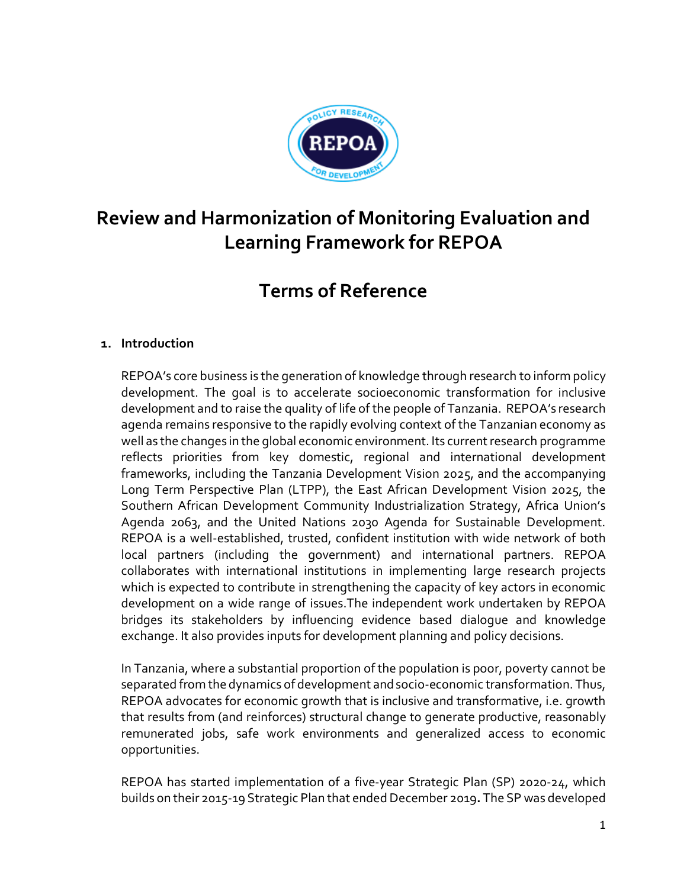

# **Review and Harmonization of Monitoring Evaluation and Learning Framework for REPOA**

# **Terms of Reference**

## **1. Introduction**

REPOA's core business is the generation of knowledge through research to inform policy development. The goal is to accelerate socioeconomic transformation for inclusive development and to raise the quality of life of the people of Tanzania. REPOA's research agenda remains responsive to the rapidly evolving context of the Tanzanian economy as well as the changes in the global economic environment. Its current research programme reflects priorities from key domestic, regional and international development frameworks, including the Tanzania Development Vision 2025, and the accompanying Long Term Perspective Plan (LTPP), the East African Development Vision 2025, the Southern African Development Community Industrialization Strategy, Africa Union's Agenda 2063, and the United Nations 2030 Agenda for Sustainable Development. REPOA is a well-established, trusted, confident institution with wide network of both local partners (including the government) and international partners. REPOA collaborates with international institutions in implementing large research projects which is expected to contribute in strengthening the capacity of key actors in economic development on a wide range of issues.The independent work undertaken by REPOA bridges its stakeholders by influencing evidence based dialogue and knowledge exchange. It also provides inputs for development planning and policy decisions.

In Tanzania, where a substantial proportion of the population is poor, poverty cannot be separated from the dynamics of development and socio-economic transformation. Thus, REPOA advocates for economic growth that is inclusive and transformative, i.e. growth that results from (and reinforces) structural change to generate productive, reasonably remunerated jobs, safe work environments and generalized access to economic opportunities.

REPOA has started implementation of a five-year Strategic Plan (SP) 2020-24, which builds on their 2015-19 Strategic Plan that endedDecember 2019**.** The SP was developed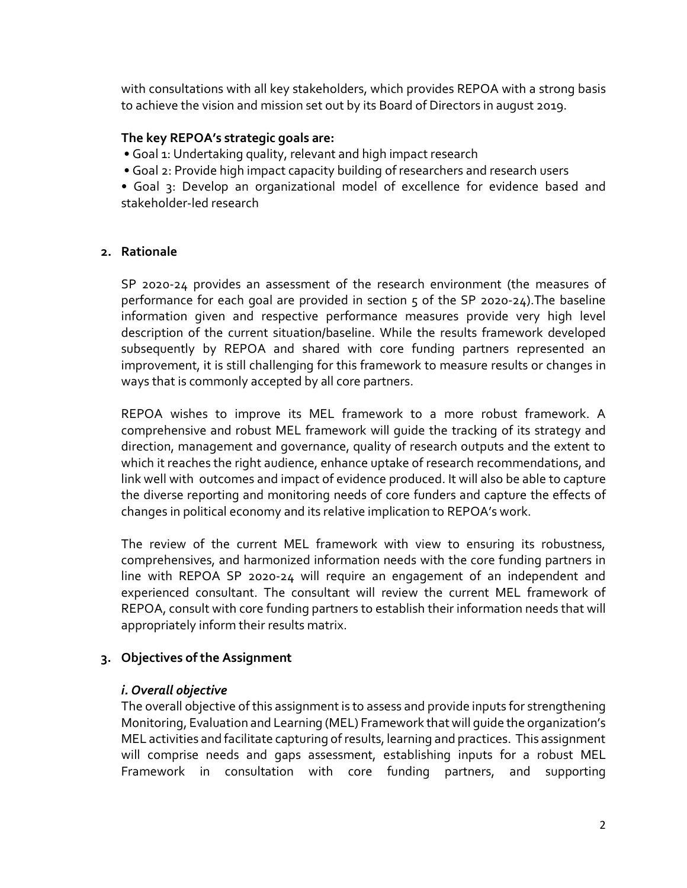with consultations with all key stakeholders, which provides REPOA with a strong basis to achieve the vision and mission set out by its Board of Directors in august 2019.

## **The key REPOA's strategic goals are:**

• Goal 1: Undertaking quality, relevant and high impact research

• Goal 2: Provide high impact capacity building of researchers and research users

• Goal 3: Develop an organizational model of excellence for evidence based and stakeholder-led research

#### **2. Rationale**

SP 2020-24 provides an assessment of the research environment (the measures of performance for each goal are provided in section 5 of the SP 2020-24).The baseline information given and respective performance measures provide very high level description of the current situation/baseline. While the results framework developed subsequently by REPOA and shared with core funding partners represented an improvement, it is still challenging for this framework to measure results or changes in ways that is commonly accepted by all core partners.

REPOA wishes to improve its MEL framework to a more robust framework. A comprehensive and robust MEL framework will guide the tracking of its strategy and direction, management and governance, quality of research outputs and the extent to which it reaches the right audience, enhance uptake of research recommendations, and link well with outcomes and impact of evidence produced. It will also be able to capture the diverse reporting and monitoring needs of core funders and capture the effects of changes in political economy and its relative implication to REPOA's work.

The review of the current MEL framework with view to ensuring its robustness, comprehensives, and harmonized information needs with the core funding partners in line with REPOA SP 2020-24 will require an engagement of an independent and experienced consultant. The consultant will review the current MEL framework of REPOA, consult with core funding partners to establish their information needs that will appropriately inform their results matrix.

#### **3. Objectives of the Assignment**

#### *i. Overall objective*

The overall objective of this assignment is to assess and provide inputs for strengthening Monitoring, Evaluation and Learning (MEL) Framework that will guide the organization's MEL activities and facilitate capturing of results, learning and practices. This assignment will comprise needs and gaps assessment, establishing inputs for a robust MEL Framework in consultation with core funding partners, and supporting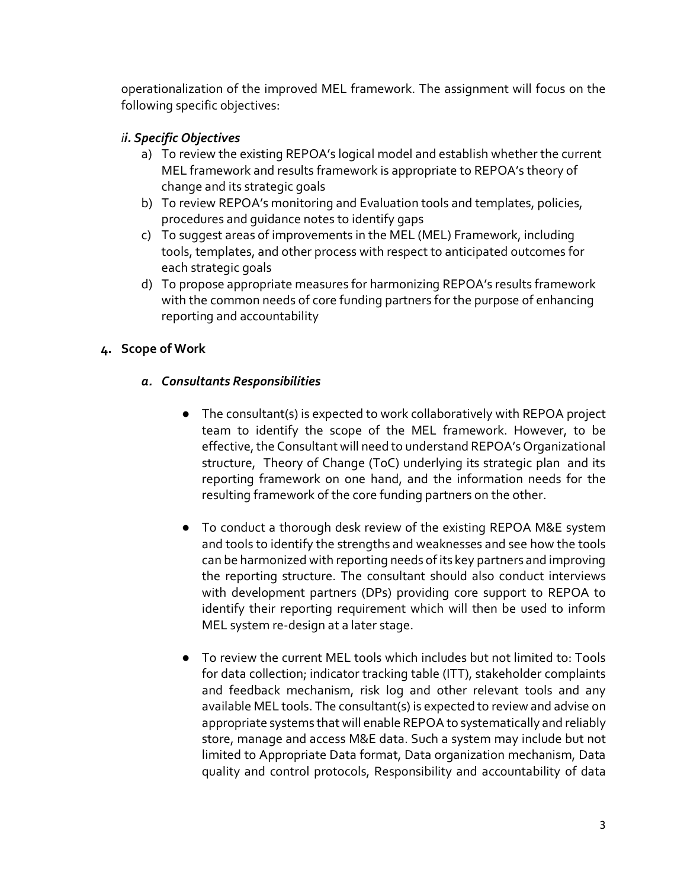operationalization of the improved MEL framework. The assignment will focus on the following specific objectives:

# *ii. Specific Objectives*

- a) To review the existing REPOA's logical model and establish whether the current MEL framework and results framework is appropriate to REPOA's theory of change and its strategic goals
- b) To review REPOA's monitoring and Evaluation tools and templates, policies, procedures and guidance notes to identify gaps
- c) To suggest areas of improvements in the MEL (MEL) Framework, including tools, templates, and other process with respect to anticipated outcomes for each strategic goals
- d) To propose appropriate measures for harmonizing REPOA's results framework with the common needs of core funding partners for the purpose of enhancing reporting and accountability

# **4. Scope of Work**

# *a. Consultants Responsibilities*

- The consultant(s) is expected to work collaboratively with REPOA project team to identify the scope of the MEL framework. However, to be effective, the Consultant will need to understand REPOA's Organizational structure, Theory of Change (ToC) underlying its strategic plan and its reporting framework on one hand, and the information needs for the resulting framework of the core funding partners on the other.
- To conduct a thorough desk review of the existing REPOA M&E system and tools to identify the strengths and weaknesses and see how the tools can be harmonized with reporting needs of its key partners and improving the reporting structure. The consultant should also conduct interviews with development partners (DPs) providing core support to REPOA to identify their reporting requirement which will then be used to inform MEL system re-design at a later stage.
- To review the current MEL tools which includes but not limited to: Tools for data collection; indicator tracking table (ITT), stakeholder complaints and feedback mechanism, risk log and other relevant tools and any available MEL tools. The consultant(s) is expected to review and advise on appropriate systems that will enable REPOA to systematically and reliably store, manage and access M&E data. Such a system may include but not limited to Appropriate Data format, Data organization mechanism, Data quality and control protocols, Responsibility and accountability of data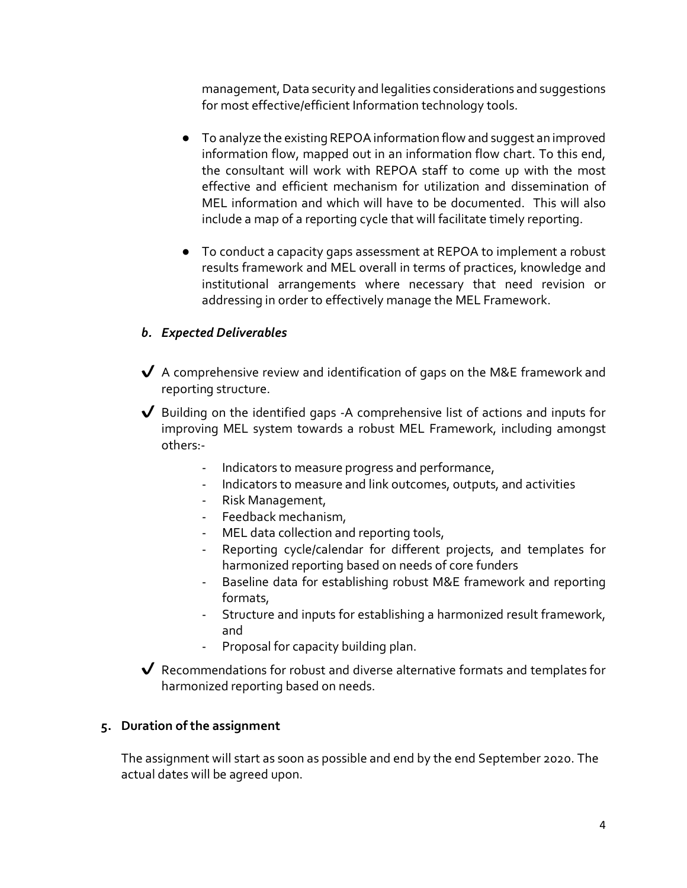management, Data security and legalities considerations and suggestions for most effective/efficient Information technology tools.

- To analyze the existing REPOA information flow and suggest an improved information flow, mapped out in an information flow chart. To this end, the consultant will work with REPOA staff to come up with the most effective and efficient mechanism for utilization and dissemination of MEL information and which will have to be documented. This will also include a map of a reporting cycle that will facilitate timely reporting.
- To conduct a capacity gaps assessment at REPOA to implement a robust results framework and MEL overall in terms of practices, knowledge and institutional arrangements where necessary that need revision or addressing in order to effectively manage the MEL Framework.

# *b. Expected Deliverables*

- $\bigvee$  A comprehensive review and identification of gaps on the M&E framework and reporting structure.
- $\sqrt{\phantom{a}}$  Building on the identified gaps -A comprehensive list of actions and inputs for improving MEL system towards a robust MEL Framework, including amongst others:-
	- Indicators to measure progress and performance,
	- Indicators to measure and link outcomes, outputs, and activities
	- Risk Management,
	- Feedback mechanism,
	- MEL data collection and reporting tools,
	- Reporting cycle/calendar for different projects, and templates for harmonized reporting based on needs of core funders
	- Baseline data for establishing robust M&E framework and reporting formats,
	- Structure and inputs for establishing a harmonized result framework, and
	- Proposal for capacity building plan.

✔ Recommendations for robust and diverse alternative formats and templates for harmonized reporting based on needs.

## **5. Duration of the assignment**

The assignment will start as soon as possible and end by the end September 2020. The actual dates will be agreed upon.